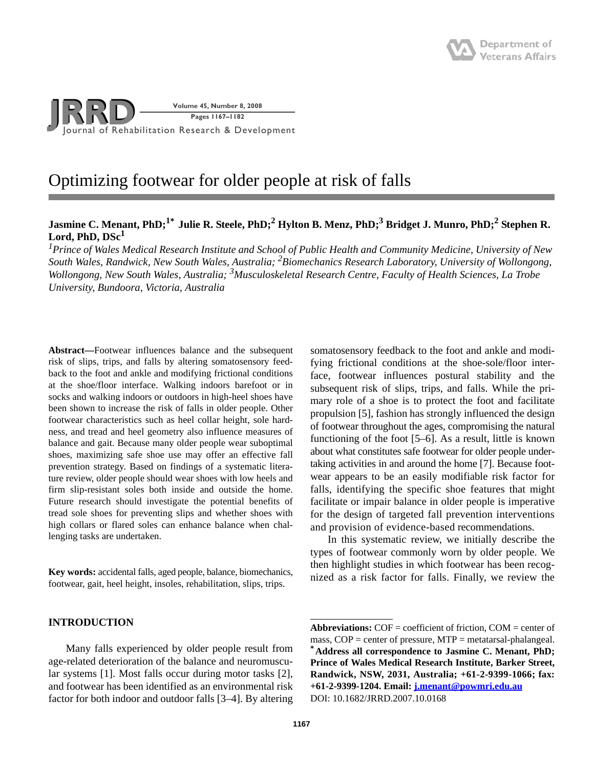

# Optimizing footwear for older people at risk of falls

# **Jasmine C. Menant, PhD;1\* Julie R. Steele, PhD;2 Hylton B. Menz, PhD;3 Bridget J. Munro, PhD;2 Stephen R. Lord, PhD, DSc1**

*1 Prince of Wales Medical Research Institute and School of Public Health and Community Medicine, University of New South Wales, Randwick, New South Wales, Australia; 2Biomechanics Research Laboratory, University of Wollongong, Wollongong, New South Wales, Australia; <sup>3</sup> Musculoskeletal Research Centre, Faculty of Health Sciences, La Trobe University, Bundoora, Victoria, Australia*

**Abstract—**Footwear influences balance and the subsequent risk of slips, trips, and falls by altering somatosensory feedback to the foot and ankle and modifying frictional conditions at the shoe/floor interface. Walking indoors barefoot or in socks and walking indoors or outdoors in high-heel shoes have been shown to increase the risk of falls in older people. Other footwear characteristics such as heel collar height, sole hardness, and tread and heel geometry also influence measures of balance and gait. Because many older people wear suboptimal shoes, maximizing safe shoe use may offer an effective fall prevention strategy. Based on findings of a systematic literature review, older people should wear shoes with low heels and firm slip-resistant soles both inside and outside the home. Future research should investigate the potential benefits of tread sole shoes for preventing slips and whether shoes with high collars or flared soles can enhance balance when challenging tasks are undertaken.

**Key words:** accidental falls, aged people, balance, biomechanics, footwear, gait, heel height, insoles, rehabilitation, slips, trips.

### **INTRODUCTION**

Many falls experienced by older people result from age-related deterioration of the balance and neuromuscular systems [1]. Most falls occur during motor tasks [2], and footwear has been identified as an environmental risk factor for both indoor and outdoor falls [3–4]. By altering somatosensory feedback to the foot and ankle and modifying frictional conditions at the shoe-sole/floor interface, footwear influences postural stability and the subsequent risk of slips, trips, and falls. While the primary role of a shoe is to protect the foot and facilitate propulsion [5], fashion has strongly influenced the design of footwear throughout the ages, compromising the natural functioning of the foot [5–6]. As a result, little is known about what constitutes safe footwear for older people undertaking activities in and around the home [7]. Because footwear appears to be an easily modifiable risk factor for falls, identifying the specific shoe features that might facilitate or impair balance in older people is imperative for the design of targeted fall prevention interventions and provision of evidence-based recommendations.

In this systematic review, we initially describe the types of footwear commonly worn by older people. We then highlight studies in which footwear has been recognized as a risk factor for falls. Finally, we review the

**Abbreviations:** COF = coefficient of friction, COM = center of mass, COP = center of pressure, MTP = metatarsal-phalangeal. **\*Address all correspondence to Jasmine C. Menant, PhD; Prince of Wales Medical Research Institute, Barker Street, Randwick, NSW, 2031, Australia; +61-2-9399-1066; fax: +61-2-9399-1204. Email: j.menant@powmri.edu.au** DOI: 10.1682/JRRD.2007.10.0168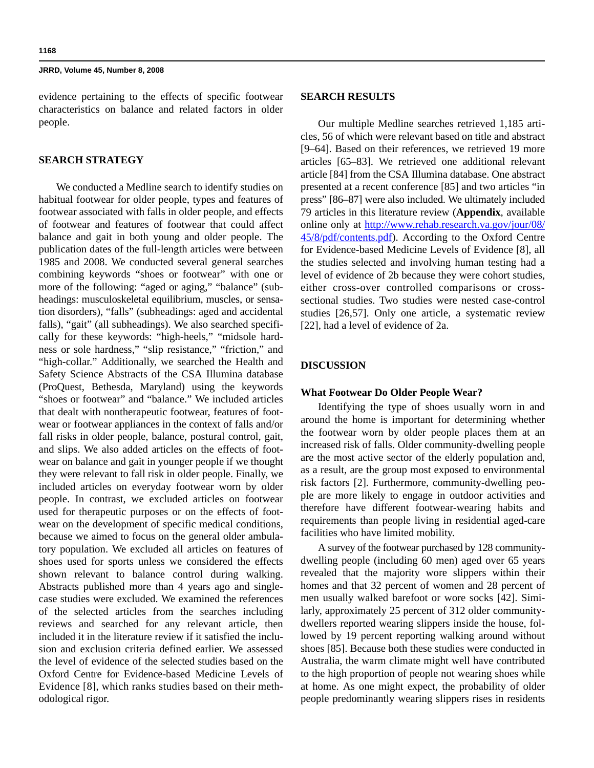evidence pertaining to the effects of specific footwear characteristics on balance and related factors in older people.

### **SEARCH STRATEGY**

We conducted a Medline search to identify studies on habitual footwear for older people, types and features of footwear associated with falls in older people, and effects of footwear and features of footwear that could affect balance and gait in both young and older people. The publication dates of the full-length articles were between 1985 and 2008. We conducted several general searches combining keywords "shoes or footwear" with one or more of the following: "aged or aging," "balance" (subheadings: musculoskeletal equilibrium, muscles, or sensation disorders), "falls" (subheadings: aged and accidental falls), "gait" (all subheadings). We also searched specifically for these keywords: "high-heels," "midsole hardness or sole hardness," "slip resistance," "friction," and "high-collar." Additionally, we searched the Health and Safety Science Abstracts of the CSA Illumina database (ProQuest, Bethesda, Maryland) using the keywords "shoes or footwear" and "balance." We included articles that dealt with nontherapeutic footwear, features of footwear or footwear appliances in the context of falls and/or fall risks in older people, balance, postural control, gait, and slips. We also added articles on the effects of footwear on balance and gait in younger people if we thought they were relevant to fall risk in older people. Finally, we included articles on everyday footwear worn by older people. In contrast, we excluded articles on footwear used for therapeutic purposes or on the effects of footwear on the development of specific medical conditions, because we aimed to focus on the general older ambulatory population. We excluded all articles on features of shoes used for sports unless we considered the effects shown relevant to balance control during walking. Abstracts published more than 4 years ago and singlecase studies were excluded. We examined the references of the selected articles from the searches including reviews and searched for any relevant article, then included it in the literature review if it satisfied the inclusion and exclusion criteria defined earlier. We assessed the level of evidence of the selected studies based on the Oxford Centre for Evidence-based Medicine Levels of Evidence [8], which ranks studies based on their methodological rigor.

### **SEARCH RESULTS**

Our multiple Medline searches retrieved 1,185 articles, 56 of which were relevant based on title and abstract [9–64]. Based on their references, we retrieved 19 more articles [65–83]. We retrieved one additional relevant article [84] from the CSA Illumina database. One abstract presented at a recent conference [85] and two articles "in press" [86–87] were also included. We ultimately included 79 articles in this literature review (**Appendix**, available online only at http://www.rehab.research.va.gov/jour/08/ 45/8/pdf/contents.pdf). According to the Oxford Centre for Evidence-based Medicine Levels of Evidence [8], all the studies selected and involving human testing had a level of evidence of 2b because they were cohort studies, either cross-over controlled comparisons or crosssectional studies. Two studies were nested case-control studies [26,57]. Only one article, a systematic review [22], had a level of evidence of 2a.

### **DISCUSSION**

#### **What Footwear Do Older People Wear?**

Identifying the type of shoes usually worn in and around the home is important for determining whether the footwear worn by older people places them at an increased risk of falls. Older community-dwelling people are the most active sector of the elderly population and, as a result, are the group most exposed to environmental risk factors [2]. Furthermore, community-dwelling people are more likely to engage in outdoor activities and therefore have different footwear-wearing habits and requirements than people living in residential aged-care facilities who have limited mobility.

A survey of the footwear purchased by 128 communitydwelling people (including 60 men) aged over 65 years revealed that the majority wore slippers within their homes and that 32 percent of women and 28 percent of men usually walked barefoot or wore socks [42]. Similarly, approximately 25 percent of 312 older communitydwellers reported wearing slippers inside the house, followed by 19 percent reporting walking around without shoes [85]. Because both these studies were conducted in Australia, the warm climate might well have contributed to the high proportion of people not wearing shoes while at home. As one might expect, the probability of older people predominantly wearing slippers rises in residents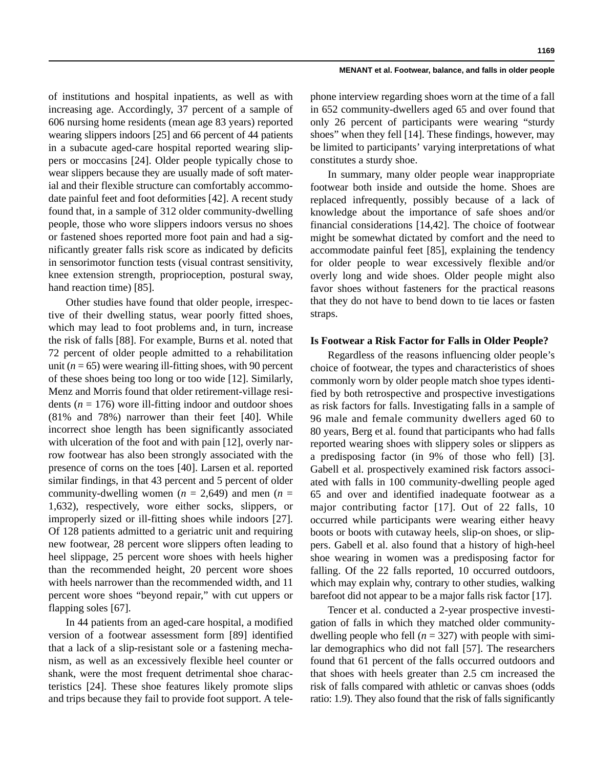**1169**

of institutions and hospital inpatients, as well as with increasing age. Accordingly, 37 percent of a sample of 606 nursing home residents (mean age 83 years) reported wearing slippers indoors [25] and 66 percent of 44 patients in a subacute aged-care hospital reported wearing slippers or moccasins [24]. Older people typically chose to wear slippers because they are usually made of soft material and their flexible structure can comfortably accommodate painful feet and foot deformities [42]. A recent study found that, in a sample of 312 older community-dwelling people, those who wore slippers indoors versus no shoes or fastened shoes reported more foot pain and had a significantly greater falls risk score as indicated by deficits in sensorimotor function tests (visual contrast sensitivity, knee extension strength, proprioception, postural sway, hand reaction time) [85].

Other studies have found that older people, irrespective of their dwelling status, wear poorly fitted shoes, which may lead to foot problems and, in turn, increase the risk of falls [88]. For example, Burns et al. noted that 72 percent of older people admitted to a rehabilitation unit ( $n = 65$ ) were wearing ill-fitting shoes, with 90 percent of these shoes being too long or too wide [12]. Similarly, Menz and Morris found that older retirement-village residents ( $n = 176$ ) wore ill-fitting indoor and outdoor shoes (81% and 78%) narrower than their feet [40]. While incorrect shoe length has been significantly associated with ulceration of the foot and with pain [12], overly narrow footwear has also been strongly associated with the presence of corns on the toes [40]. Larsen et al. reported similar findings, in that 43 percent and 5 percent of older community-dwelling women  $(n = 2,649)$  and men  $(n = 1,649)$ 1,632), respectively, wore either socks, slippers, or improperly sized or ill-fitting shoes while indoors [27]. Of 128 patients admitted to a geriatric unit and requiring new footwear, 28 percent wore slippers often leading to heel slippage, 25 percent wore shoes with heels higher than the recommended height, 20 percent wore shoes with heels narrower than the recommended width, and 11 percent wore shoes "beyond repair," with cut uppers or flapping soles [67].

In 44 patients from an aged-care hospital, a modified version of a footwear assessment form [89] identified that a lack of a slip-resistant sole or a fastening mechanism, as well as an excessively flexible heel counter or shank, were the most frequent detrimental shoe characteristics [24]. These shoe features likely promote slips and trips because they fail to provide foot support. A telephone interview regarding shoes worn at the time of a fall in 652 community-dwellers aged 65 and over found that only 26 percent of participants were wearing "sturdy shoes" when they fell [14]. These findings, however, may be limited to participants' varying interpretations of what constitutes a sturdy shoe.

In summary, many older people wear inappropriate footwear both inside and outside the home. Shoes are replaced infrequently, possibly because of a lack of knowledge about the importance of safe shoes and/or financial considerations [14,42]. The choice of footwear might be somewhat dictated by comfort and the need to accommodate painful feet [85], explaining the tendency for older people to wear excessively flexible and/or overly long and wide shoes. Older people might also favor shoes without fasteners for the practical reasons that they do not have to bend down to tie laces or fasten straps.

### **Is Footwear a Risk Factor for Falls in Older People?**

Regardless of the reasons influencing older people's choice of footwear, the types and characteristics of shoes commonly worn by older people match shoe types identified by both retrospective and prospective investigations as risk factors for falls. Investigating falls in a sample of 96 male and female community dwellers aged 60 to 80 years, Berg et al. found that participants who had falls reported wearing shoes with slippery soles or slippers as a predisposing factor (in 9% of those who fell) [3]. Gabell et al. prospectively examined risk factors associated with falls in 100 community-dwelling people aged 65 and over and identified inadequate footwear as a major contributing factor [17]. Out of 22 falls, 10 occurred while participants were wearing either heavy boots or boots with cutaway heels, slip-on shoes, or slippers. Gabell et al. also found that a history of high-heel shoe wearing in women was a predisposing factor for falling. Of the 22 falls reported, 10 occurred outdoors, which may explain why, contrary to other studies, walking barefoot did not appear to be a major falls risk factor [17].

Tencer et al. conducted a 2-year prospective investigation of falls in which they matched older communitydwelling people who fell  $(n = 327)$  with people with similar demographics who did not fall [57]. The researchers found that 61 percent of the falls occurred outdoors and that shoes with heels greater than 2.5 cm increased the risk of falls compared with athletic or canvas shoes (odds ratio: 1.9). They also found that the risk of falls significantly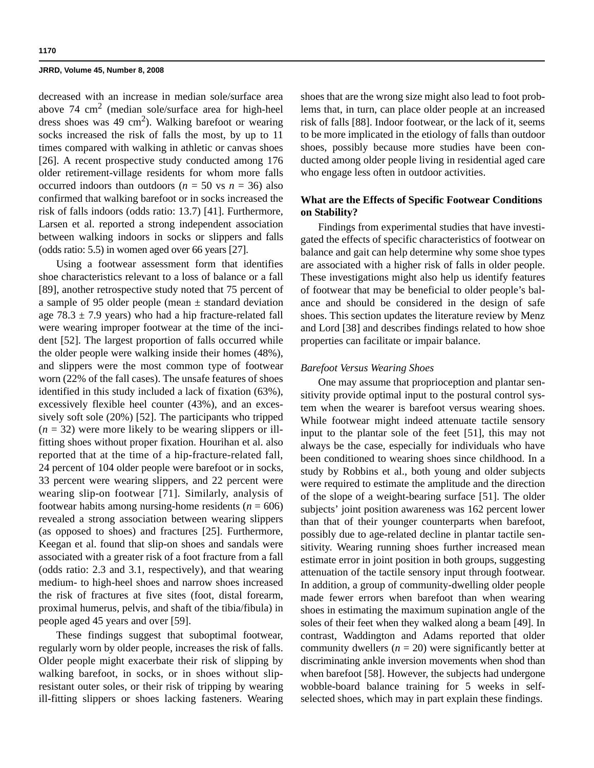decreased with an increase in median sole/surface area above 74  $\text{cm}^2$  (median sole/surface area for high-heel dress shoes was  $49 \text{ cm}^2$ ). Walking barefoot or wearing socks increased the risk of falls the most, by up to 11 times compared with walking in athletic or canvas shoes [26]. A recent prospective study conducted among 176 older retirement-village residents for whom more falls occurred indoors than outdoors ( $n = 50$  vs  $n = 36$ ) also confirmed that walking barefoot or in socks increased the risk of falls indoors (odds ratio: 13.7) [41]. Furthermore, Larsen et al. reported a strong independent association between walking indoors in socks or slippers and falls (odds ratio: 5.5) in women aged over 66 years [27].

Using a footwear assessment form that identifies shoe characteristics relevant to a loss of balance or a fall [89], another retrospective study noted that 75 percent of a sample of 95 older people (mean  $\pm$  standard deviation age  $78.3 \pm 7.9$  years) who had a hip fracture-related fall were wearing improper footwear at the time of the incident [52]. The largest proportion of falls occurred while the older people were walking inside their homes (48%), and slippers were the most common type of footwear worn (22% of the fall cases). The unsafe features of shoes identified in this study included a lack of fixation (63%), excessively flexible heel counter (43%), and an excessively soft sole (20%) [52]. The participants who tripped  $(n = 32)$  were more likely to be wearing slippers or illfitting shoes without proper fixation. Hourihan et al. also reported that at the time of a hip-fracture-related fall, 24 percent of 104 older people were barefoot or in socks, 33 percent were wearing slippers, and 22 percent were wearing slip-on footwear [71]. Similarly, analysis of footwear habits among nursing-home residents  $(n = 606)$ revealed a strong association between wearing slippers (as opposed to shoes) and fractures [25]. Furthermore, Keegan et al. found that slip-on shoes and sandals were associated with a greater risk of a foot fracture from a fall (odds ratio: 2.3 and 3.1, respectively), and that wearing medium- to high-heel shoes and narrow shoes increased the risk of fractures at five sites (foot, distal forearm, proximal humerus, pelvis, and shaft of the tibia/fibula) in people aged 45 years and over [59].

These findings suggest that suboptimal footwear, regularly worn by older people, increases the risk of falls. Older people might exacerbate their risk of slipping by walking barefoot, in socks, or in shoes without slipresistant outer soles, or their risk of tripping by wearing ill-fitting slippers or shoes lacking fasteners. Wearing

shoes that are the wrong size might also lead to foot problems that, in turn, can place older people at an increased risk of falls [88]. Indoor footwear, or the lack of it, seems to be more implicated in the etiology of falls than outdoor shoes, possibly because more studies have been conducted among older people living in residential aged care who engage less often in outdoor activities.

### **What are the Effects of Specific Footwear Conditions on Stability?**

Findings from experimental studies that have investigated the effects of specific characteristics of footwear on balance and gait can help determine why some shoe types are associated with a higher risk of falls in older people. These investigations might also help us identify features of footwear that may be beneficial to older people's balance and should be considered in the design of safe shoes. This section updates the literature review by Menz and Lord [38] and describes findings related to how shoe properties can facilitate or impair balance.

#### *Barefoot Versus Wearing Shoes*

One may assume that proprioception and plantar sensitivity provide optimal input to the postural control system when the wearer is barefoot versus wearing shoes. While footwear might indeed attenuate tactile sensory input to the plantar sole of the feet [51], this may not always be the case, especially for individuals who have been conditioned to wearing shoes since childhood. In a study by Robbins et al., both young and older subjects were required to estimate the amplitude and the direction of the slope of a weight-bearing surface [51]. The older subjects' joint position awareness was 162 percent lower than that of their younger counterparts when barefoot, possibly due to age-related decline in plantar tactile sensitivity. Wearing running shoes further increased mean estimate error in joint position in both groups, suggesting attenuation of the tactile sensory input through footwear. In addition, a group of community-dwelling older people made fewer errors when barefoot than when wearing shoes in estimating the maximum supination angle of the soles of their feet when they walked along a beam [49]. In contrast, Waddington and Adams reported that older community dwellers  $(n = 20)$  were significantly better at discriminating ankle inversion movements when shod than when barefoot [58]. However, the subjects had undergone wobble-board balance training for 5 weeks in selfselected shoes, which may in part explain these findings.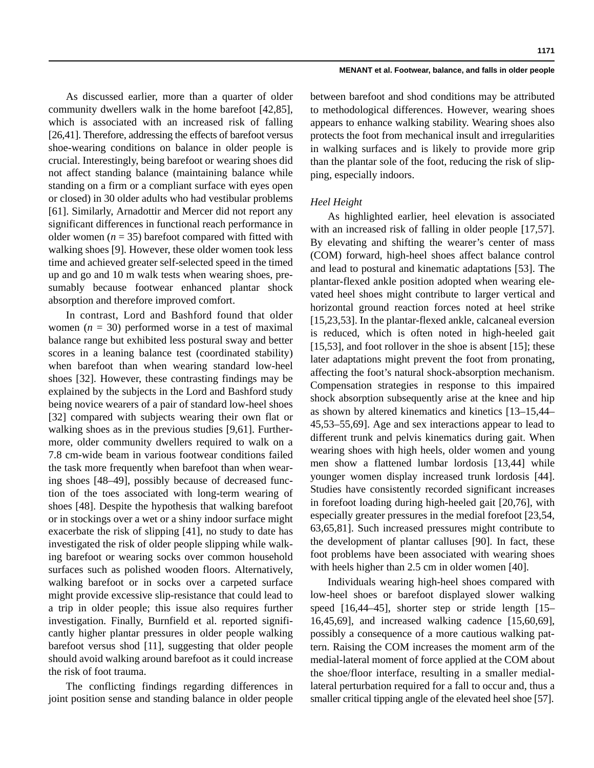As discussed earlier, more than a quarter of older community dwellers walk in the home barefoot [42,85], which is associated with an increased risk of falling [26,41]. Therefore, addressing the effects of barefoot versus shoe-wearing conditions on balance in older people is crucial. Interestingly, being barefoot or wearing shoes did not affect standing balance (maintaining balance while standing on a firm or a compliant surface with eyes open or closed) in 30 older adults who had vestibular problems [61]. Similarly, Arnadottir and Mercer did not report any significant differences in functional reach performance in older women  $(n = 35)$  barefoot compared with fitted with walking shoes [9]. However, these older women took less time and achieved greater self-selected speed in the timed up and go and 10 m walk tests when wearing shoes, presumably because footwear enhanced plantar shock absorption and therefore improved comfort.

In contrast, Lord and Bashford found that older women  $(n = 30)$  performed worse in a test of maximal balance range but exhibited less postural sway and better scores in a leaning balance test (coordinated stability) when barefoot than when wearing standard low-heel shoes [32]. However, these contrasting findings may be explained by the subjects in the Lord and Bashford study being novice wearers of a pair of standard low-heel shoes [32] compared with subjects wearing their own flat or walking shoes as in the previous studies [9,61]. Furthermore, older community dwellers required to walk on a 7.8 cm-wide beam in various footwear conditions failed the task more frequently when barefoot than when wearing shoes [48–49], possibly because of decreased function of the toes associated with long-term wearing of shoes [48]. Despite the hypothesis that walking barefoot or in stockings over a wet or a shiny indoor surface might exacerbate the risk of slipping [41], no study to date has investigated the risk of older people slipping while walking barefoot or wearing socks over common household surfaces such as polished wooden floors. Alternatively, walking barefoot or in socks over a carpeted surface might provide excessive slip-resistance that could lead to a trip in older people; this issue also requires further investigation. Finally, Burnfield et al. reported significantly higher plantar pressures in older people walking barefoot versus shod [11], suggesting that older people should avoid walking around barefoot as it could increase the risk of foot trauma.

The conflicting findings regarding differences in joint position sense and standing balance in older people

between barefoot and shod conditions may be attributed to methodological differences. However, wearing shoes appears to enhance walking stability. Wearing shoes also protects the foot from mechanical insult and irregularities in walking surfaces and is likely to provide more grip than the plantar sole of the foot, reducing the risk of slipping, especially indoors.

### *Heel Height*

As highlighted earlier, heel elevation is associated with an increased risk of falling in older people [17,57]. By elevating and shifting the wearer's center of mass (COM) forward, high-heel shoes affect balance control and lead to postural and kinematic adaptations [53]. The plantar-flexed ankle position adopted when wearing elevated heel shoes might contribute to larger vertical and horizontal ground reaction forces noted at heel strike [15,23,53]. In the plantar-flexed ankle, calcaneal eversion is reduced, which is often noted in high-heeled gait [15,53], and foot rollover in the shoe is absent [15]; these later adaptations might prevent the foot from pronating, affecting the foot's natural shock-absorption mechanism. Compensation strategies in response to this impaired shock absorption subsequently arise at the knee and hip as shown by altered kinematics and kinetics [13–15,44– 45,53–55,69]. Age and sex interactions appear to lead to different trunk and pelvis kinematics during gait. When wearing shoes with high heels, older women and young men show a flattened lumbar lordosis [13,44] while younger women display increased trunk lordosis [44]. Studies have consistently recorded significant increases in forefoot loading during high-heeled gait [20,76], with especially greater pressures in the medial forefoot [23,54, 63,65,81]. Such increased pressures might contribute to the development of plantar calluses [90]. In fact, these foot problems have been associated with wearing shoes with heels higher than 2.5 cm in older women [40].

Individuals wearing high-heel shoes compared with low-heel shoes or barefoot displayed slower walking speed [16,44–45], shorter step or stride length [15– 16,45,69], and increased walking cadence [15,60,69], possibly a consequence of a more cautious walking pattern. Raising the COM increases the moment arm of the medial-lateral moment of force applied at the COM about the shoe/floor interface, resulting in a smaller mediallateral perturbation required for a fall to occur and, thus a smaller critical tipping angle of the elevated heel shoe [57].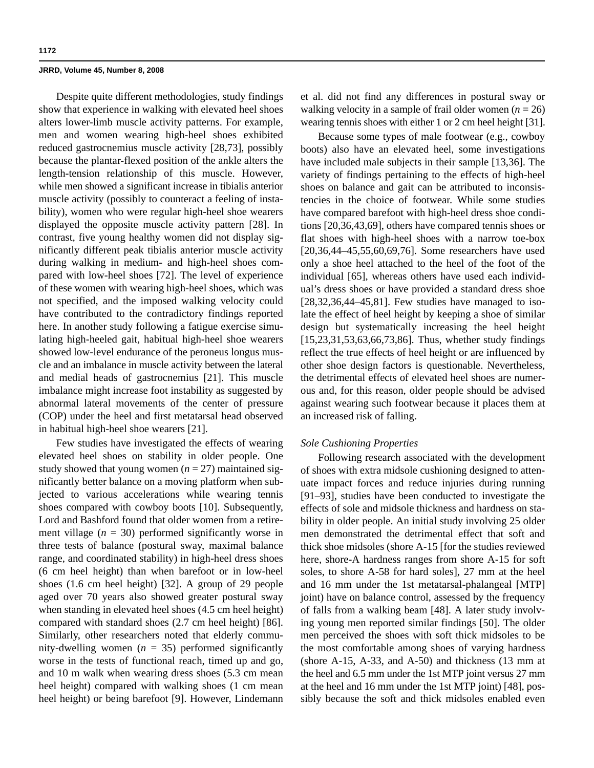Despite quite different methodologies, study findings show that experience in walking with elevated heel shoes alters lower-limb muscle activity patterns. For example, men and women wearing high-heel shoes exhibited reduced gastrocnemius muscle activity [28,73], possibly because the plantar-flexed position of the ankle alters the length-tension relationship of this muscle. However, while men showed a significant increase in tibialis anterior muscle activity (possibly to counteract a feeling of instability), women who were regular high-heel shoe wearers displayed the opposite muscle activity pattern [28]. In contrast, five young healthy women did not display significantly different peak tibialis anterior muscle activity during walking in medium- and high-heel shoes compared with low-heel shoes [72]. The level of experience of these women with wearing high-heel shoes, which was not specified, and the imposed walking velocity could have contributed to the contradictory findings reported here. In another study following a fatigue exercise simulating high-heeled gait, habitual high-heel shoe wearers showed low-level endurance of the peroneus longus muscle and an imbalance in muscle activity between the lateral and medial heads of gastrocnemius [21]. This muscle imbalance might increase foot instability as suggested by abnormal lateral movements of the center of pressure (COP) under the heel and first metatarsal head observed in habitual high-heel shoe wearers [21].

Few studies have investigated the effects of wearing elevated heel shoes on stability in older people. One study showed that young women  $(n = 27)$  maintained significantly better balance on a moving platform when subjected to various accelerations while wearing tennis shoes compared with cowboy boots [10]. Subsequently, Lord and Bashford found that older women from a retirement village  $(n = 30)$  performed significantly worse in three tests of balance (postural sway, maximal balance range, and coordinated stability) in high-heel dress shoes (6 cm heel height) than when barefoot or in low-heel shoes (1.6 cm heel height) [32]. A group of 29 people aged over 70 years also showed greater postural sway when standing in elevated heel shoes (4.5 cm heel height) compared with standard shoes (2.7 cm heel height) [86]. Similarly, other researchers noted that elderly community-dwelling women  $(n = 35)$  performed significantly worse in the tests of functional reach, timed up and go, and 10 m walk when wearing dress shoes (5.3 cm mean heel height) compared with walking shoes (1 cm mean heel height) or being barefoot [9]. However, Lindemann et al. did not find any differences in postural sway or walking velocity in a sample of frail older women  $(n = 26)$ wearing tennis shoes with either 1 or 2 cm heel height [31].

Because some types of male footwear (e.g., cowboy boots) also have an elevated heel, some investigations have included male subjects in their sample [13,36]. The variety of findings pertaining to the effects of high-heel shoes on balance and gait can be attributed to inconsistencies in the choice of footwear. While some studies have compared barefoot with high-heel dress shoe conditions [20,36,43,69], others have compared tennis shoes or flat shoes with high-heel shoes with a narrow toe-box [20,36,44–45,55,60,69,76]. Some researchers have used only a shoe heel attached to the heel of the foot of the individual [65], whereas others have used each individual's dress shoes or have provided a standard dress shoe [28,32,36,44–45,81]. Few studies have managed to isolate the effect of heel height by keeping a shoe of similar design but systematically increasing the heel height [15,23,31,53,63,66,73,86]. Thus, whether study findings reflect the true effects of heel height or are influenced by other shoe design factors is questionable. Nevertheless, the detrimental effects of elevated heel shoes are numerous and, for this reason, older people should be advised against wearing such footwear because it places them at an increased risk of falling.

### *Sole Cushioning Properties*

Following research associated with the development of shoes with extra midsole cushioning designed to attenuate impact forces and reduce injuries during running [91–93], studies have been conducted to investigate the effects of sole and midsole thickness and hardness on stability in older people. An initial study involving 25 older men demonstrated the detrimental effect that soft and thick shoe midsoles (shore A-15 [for the studies reviewed here, shore-A hardness ranges from shore A-15 for soft soles, to shore A-58 for hard soles], 27 mm at the heel and 16 mm under the 1st metatarsal-phalangeal [MTP] joint) have on balance control, assessed by the frequency of falls from a walking beam [48]. A later study involving young men reported similar findings [50]. The older men perceived the shoes with soft thick midsoles to be the most comfortable among shoes of varying hardness (shore A-15, A-33, and A-50) and thickness (13 mm at the heel and 6.5 mm under the 1st MTP joint versus 27 mm at the heel and 16 mm under the 1st MTP joint) [48], possibly because the soft and thick midsoles enabled even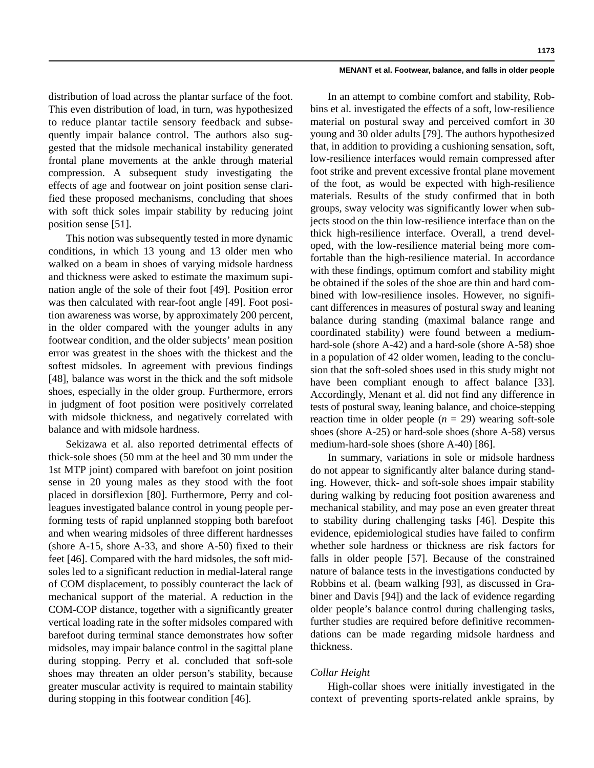distribution of load across the plantar surface of the foot. This even distribution of load, in turn, was hypothesized to reduce plantar tactile sensory feedback and subsequently impair balance control. The authors also suggested that the midsole mechanical instability generated frontal plane movements at the ankle through material compression. A subsequent study investigating the effects of age and footwear on joint position sense clarified these proposed mechanisms, concluding that shoes with soft thick soles impair stability by reducing joint position sense [51].

This notion was subsequently tested in more dynamic conditions, in which 13 young and 13 older men who walked on a beam in shoes of varying midsole hardness and thickness were asked to estimate the maximum supination angle of the sole of their foot [49]. Position error was then calculated with rear-foot angle [49]. Foot position awareness was worse, by approximately 200 percent, in the older compared with the younger adults in any footwear condition, and the older subjects' mean position error was greatest in the shoes with the thickest and the softest midsoles. In agreement with previous findings [48], balance was worst in the thick and the soft midsole shoes, especially in the older group. Furthermore, errors in judgment of foot position were positively correlated with midsole thickness, and negatively correlated with balance and with midsole hardness.

Sekizawa et al. also reported detrimental effects of thick-sole shoes (50 mm at the heel and 30 mm under the 1st MTP joint) compared with barefoot on joint position sense in 20 young males as they stood with the foot placed in dorsiflexion [80]. Furthermore, Perry and colleagues investigated balance control in young people performing tests of rapid unplanned stopping both barefoot and when wearing midsoles of three different hardnesses (shore A-15, shore A-33, and shore A-50) fixed to their feet [46]. Compared with the hard midsoles, the soft midsoles led to a significant reduction in medial-lateral range of COM displacement, to possibly counteract the lack of mechanical support of the material. A reduction in the COM-COP distance, together with a significantly greater vertical loading rate in the softer midsoles compared with barefoot during terminal stance demonstrates how softer midsoles, may impair balance control in the sagittal plane during stopping. Perry et al. concluded that soft-sole shoes may threaten an older person's stability, because greater muscular activity is required to maintain stability during stopping in this footwear condition [46].

In an attempt to combine comfort and stability, Robbins et al. investigated the effects of a soft, low-resilience material on postural sway and perceived comfort in 30 young and 30 older adults [79]. The authors hypothesized that, in addition to providing a cushioning sensation, soft, low-resilience interfaces would remain compressed after foot strike and prevent excessive frontal plane movement of the foot, as would be expected with high-resilience materials. Results of the study confirmed that in both groups, sway velocity was significantly lower when subjects stood on the thin low-resilience interface than on the thick high-resilience interface. Overall, a trend developed, with the low-resilience material being more comfortable than the high-resilience material. In accordance with these findings, optimum comfort and stability might be obtained if the soles of the shoe are thin and hard combined with low-resilience insoles. However, no significant differences in measures of postural sway and leaning balance during standing (maximal balance range and coordinated stability) were found between a mediumhard-sole (shore A-42) and a hard-sole (shore A-58) shoe in a population of 42 older women, leading to the conclusion that the soft-soled shoes used in this study might not have been compliant enough to affect balance [33]. Accordingly, Menant et al. did not find any difference in tests of postural sway, leaning balance, and choice-stepping reaction time in older people  $(n = 29)$  wearing soft-sole shoes (shore A-25) or hard-sole shoes (shore A-58) versus medium-hard-sole shoes (shore A-40) [86].

In summary, variations in sole or midsole hardness do not appear to significantly alter balance during standing. However, thick- and soft-sole shoes impair stability during walking by reducing foot position awareness and mechanical stability, and may pose an even greater threat to stability during challenging tasks [46]. Despite this evidence, epidemiological studies have failed to confirm whether sole hardness or thickness are risk factors for falls in older people [57]. Because of the constrained nature of balance tests in the investigations conducted by Robbins et al. (beam walking [93], as discussed in Grabiner and Davis [94]) and the lack of evidence regarding older people's balance control during challenging tasks, further studies are required before definitive recommendations can be made regarding midsole hardness and thickness.

### *Collar Height*

High-collar shoes were initially investigated in the context of preventing sports-related ankle sprains, by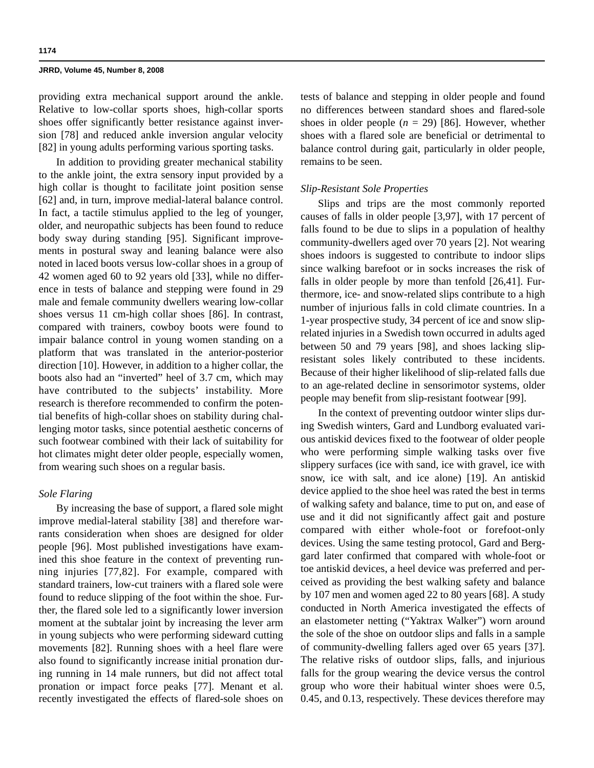providing extra mechanical support around the ankle. Relative to low-collar sports shoes, high-collar sports shoes offer significantly better resistance against inversion [78] and reduced ankle inversion angular velocity [82] in young adults performing various sporting tasks.

In addition to providing greater mechanical stability to the ankle joint, the extra sensory input provided by a high collar is thought to facilitate joint position sense [62] and, in turn, improve medial-lateral balance control. In fact, a tactile stimulus applied to the leg of younger, older, and neuropathic subjects has been found to reduce body sway during standing [95]. Significant improvements in postural sway and leaning balance were also noted in laced boots versus low-collar shoes in a group of 42 women aged 60 to 92 years old [33], while no difference in tests of balance and stepping were found in 29 male and female community dwellers wearing low-collar shoes versus 11 cm-high collar shoes [86]. In contrast, compared with trainers, cowboy boots were found to impair balance control in young women standing on a platform that was translated in the anterior-posterior direction [10]. However, in addition to a higher collar, the boots also had an "inverted" heel of 3.7 cm, which may have contributed to the subjects' instability. More research is therefore recommended to confirm the potential benefits of high-collar shoes on stability during challenging motor tasks, since potential aesthetic concerns of such footwear combined with their lack of suitability for hot climates might deter older people, especially women, from wearing such shoes on a regular basis.

### *Sole Flaring*

By increasing the base of support, a flared sole might improve medial-lateral stability [38] and therefore warrants consideration when shoes are designed for older people [96]. Most published investigations have examined this shoe feature in the context of preventing running injuries [77,82]. For example, compared with standard trainers, low-cut trainers with a flared sole were found to reduce slipping of the foot within the shoe. Further, the flared sole led to a significantly lower inversion moment at the subtalar joint by increasing the lever arm in young subjects who were performing sideward cutting movements [82]. Running shoes with a heel flare were also found to significantly increase initial pronation during running in 14 male runners, but did not affect total pronation or impact force peaks [77]. Menant et al. recently investigated the effects of flared-sole shoes on

tests of balance and stepping in older people and found no differences between standard shoes and flared-sole shoes in older people  $(n = 29)$  [86]. However, whether shoes with a flared sole are beneficial or detrimental to balance control during gait, particularly in older people, remains to be seen.

### *Slip-Resistant Sole Properties*

Slips and trips are the most commonly reported causes of falls in older people [3,97], with 17 percent of falls found to be due to slips in a population of healthy community-dwellers aged over 70 years [2]. Not wearing shoes indoors is suggested to contribute to indoor slips since walking barefoot or in socks increases the risk of falls in older people by more than tenfold [26,41]. Furthermore, ice- and snow-related slips contribute to a high number of injurious falls in cold climate countries. In a 1-year prospective study, 34 percent of ice and snow sliprelated injuries in a Swedish town occurred in adults aged between 50 and 79 years [98], and shoes lacking slipresistant soles likely contributed to these incidents. Because of their higher likelihood of slip-related falls due to an age-related decline in sensorimotor systems, older people may benefit from slip-resistant footwear [99].

In the context of preventing outdoor winter slips during Swedish winters, Gard and Lundborg evaluated various antiskid devices fixed to the footwear of older people who were performing simple walking tasks over five slippery surfaces (ice with sand, ice with gravel, ice with snow, ice with salt, and ice alone) [19]. An antiskid device applied to the shoe heel was rated the best in terms of walking safety and balance, time to put on, and ease of use and it did not significantly affect gait and posture compared with either whole-foot or forefoot-only devices. Using the same testing protocol, Gard and Berggard later confirmed that compared with whole-foot or toe antiskid devices, a heel device was preferred and perceived as providing the best walking safety and balance by 107 men and women aged 22 to 80 years [68]. A study conducted in North America investigated the effects of an elastometer netting ("Yaktrax Walker") worn around the sole of the shoe on outdoor slips and falls in a sample of community-dwelling fallers aged over 65 years [37]. The relative risks of outdoor slips, falls, and injurious falls for the group wearing the device versus the control group who wore their habitual winter shoes were 0.5, 0.45, and 0.13, respectively. These devices therefore may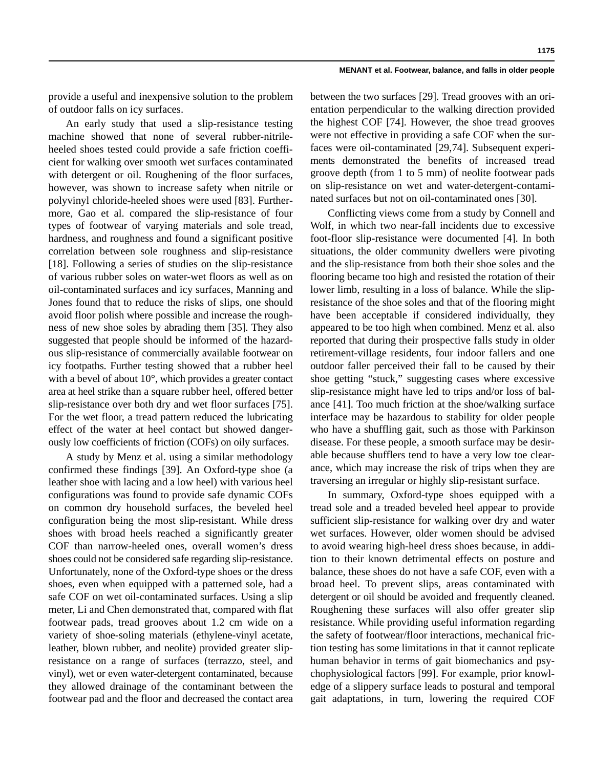provide a useful and inexpensive solution to the problem of outdoor falls on icy surfaces.

An early study that used a slip-resistance testing machine showed that none of several rubber-nitrileheeled shoes tested could provide a safe friction coefficient for walking over smooth wet surfaces contaminated with detergent or oil. Roughening of the floor surfaces, however, was shown to increase safety when nitrile or polyvinyl chloride-heeled shoes were used [83]. Furthermore, Gao et al. compared the slip-resistance of four types of footwear of varying materials and sole tread, hardness, and roughness and found a significant positive correlation between sole roughness and slip-resistance [18]. Following a series of studies on the slip-resistance of various rubber soles on water-wet floors as well as on oil-contaminated surfaces and icy surfaces, Manning and Jones found that to reduce the risks of slips, one should avoid floor polish where possible and increase the roughness of new shoe soles by abrading them [35]. They also suggested that people should be informed of the hazardous slip-resistance of commercially available footwear on icy footpaths. Further testing showed that a rubber heel with a bevel of about 10°, which provides a greater contact area at heel strike than a square rubber heel, offered better slip-resistance over both dry and wet floor surfaces [75]. For the wet floor, a tread pattern reduced the lubricating effect of the water at heel contact but showed dangerously low coefficients of friction (COFs) on oily surfaces.

A study by Menz et al. using a similar methodology confirmed these findings [39]. An Oxford-type shoe (a leather shoe with lacing and a low heel) with various heel configurations was found to provide safe dynamic COFs on common dry household surfaces, the beveled heel configuration being the most slip-resistant. While dress shoes with broad heels reached a significantly greater COF than narrow-heeled ones, overall women's dress shoes could not be considered safe regarding slip-resistance. Unfortunately, none of the Oxford-type shoes or the dress shoes, even when equipped with a patterned sole, had a safe COF on wet oil-contaminated surfaces. Using a slip meter, Li and Chen demonstrated that, compared with flat footwear pads, tread grooves about 1.2 cm wide on a variety of shoe-soling materials (ethylene-vinyl acetate, leather, blown rubber, and neolite) provided greater slipresistance on a range of surfaces (terrazzo, steel, and vinyl), wet or even water-detergent contaminated, because they allowed drainage of the contaminant between the footwear pad and the floor and decreased the contact area between the two surfaces [29]. Tread grooves with an orientation perpendicular to the walking direction provided the highest COF [74]. However, the shoe tread grooves were not effective in providing a safe COF when the surfaces were oil-contaminated [29,74]. Subsequent experiments demonstrated the benefits of increased tread groove depth (from 1 to 5 mm) of neolite footwear pads on slip-resistance on wet and water-detergent-contaminated surfaces but not on oil-contaminated ones [30].

Conflicting views come from a study by Connell and Wolf, in which two near-fall incidents due to excessive foot-floor slip-resistance were documented [4]. In both situations, the older community dwellers were pivoting and the slip-resistance from both their shoe soles and the flooring became too high and resisted the rotation of their lower limb, resulting in a loss of balance. While the slipresistance of the shoe soles and that of the flooring might have been acceptable if considered individually, they appeared to be too high when combined. Menz et al. also reported that during their prospective falls study in older retirement-village residents, four indoor fallers and one outdoor faller perceived their fall to be caused by their shoe getting "stuck," suggesting cases where excessive slip-resistance might have led to trips and/or loss of balance [41]. Too much friction at the shoe/walking surface interface may be hazardous to stability for older people who have a shuffling gait, such as those with Parkinson disease. For these people, a smooth surface may be desirable because shufflers tend to have a very low toe clearance, which may increase the risk of trips when they are traversing an irregular or highly slip-resistant surface.

In summary, Oxford-type shoes equipped with a tread sole and a treaded beveled heel appear to provide sufficient slip-resistance for walking over dry and water wet surfaces. However, older women should be advised to avoid wearing high-heel dress shoes because, in addition to their known detrimental effects on posture and balance, these shoes do not have a safe COF, even with a broad heel. To prevent slips, areas contaminated with detergent or oil should be avoided and frequently cleaned. Roughening these surfaces will also offer greater slip resistance. While providing useful information regarding the safety of footwear/floor interactions, mechanical friction testing has some limitations in that it cannot replicate human behavior in terms of gait biomechanics and psychophysiological factors [99]. For example, prior knowledge of a slippery surface leads to postural and temporal gait adaptations, in turn, lowering the required COF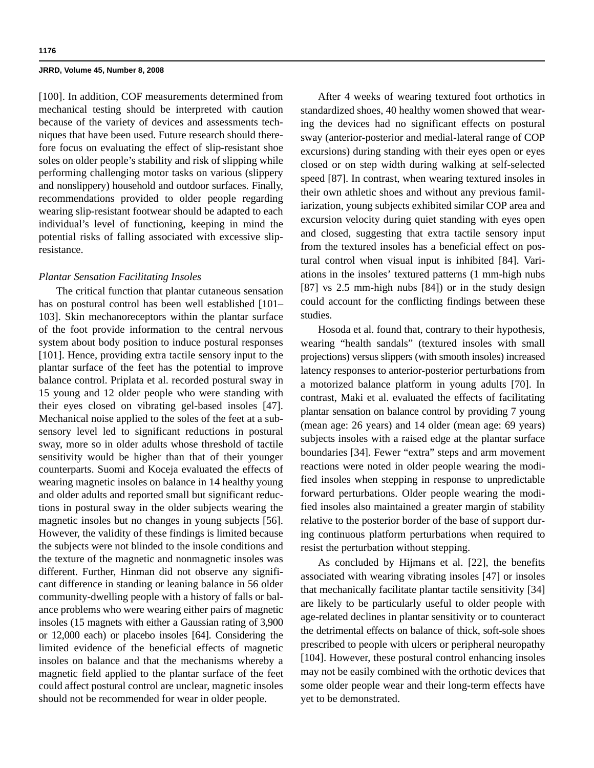[100]. In addition, COF measurements determined from mechanical testing should be interpreted with caution because of the variety of devices and assessments techniques that have been used. Future research should therefore focus on evaluating the effect of slip-resistant shoe soles on older people's stability and risk of slipping while performing challenging motor tasks on various (slippery and nonslippery) household and outdoor surfaces. Finally, recommendations provided to older people regarding wearing slip-resistant footwear should be adapted to each individual's level of functioning, keeping in mind the potential risks of falling associated with excessive slipresistance.

### *Plantar Sensation Facilitating Insoles*

The critical function that plantar cutaneous sensation has on postural control has been well established [101– 103]. Skin mechanoreceptors within the plantar surface of the foot provide information to the central nervous system about body position to induce postural responses [101]. Hence, providing extra tactile sensory input to the plantar surface of the feet has the potential to improve balance control. Priplata et al. recorded postural sway in 15 young and 12 older people who were standing with their eyes closed on vibrating gel-based insoles [47]. Mechanical noise applied to the soles of the feet at a subsensory level led to significant reductions in postural sway, more so in older adults whose threshold of tactile sensitivity would be higher than that of their younger counterparts. Suomi and Koceja evaluated the effects of wearing magnetic insoles on balance in 14 healthy young and older adults and reported small but significant reductions in postural sway in the older subjects wearing the magnetic insoles but no changes in young subjects [56]. However, the validity of these findings is limited because the subjects were not blinded to the insole conditions and the texture of the magnetic and nonmagnetic insoles was different. Further, Hinman did not observe any significant difference in standing or leaning balance in 56 older community-dwelling people with a history of falls or balance problems who were wearing either pairs of magnetic insoles (15 magnets with either a Gaussian rating of 3,900 or 12,000 each) or placebo insoles [64]. Considering the limited evidence of the beneficial effects of magnetic insoles on balance and that the mechanisms whereby a magnetic field applied to the plantar surface of the feet could affect postural control are unclear, magnetic insoles should not be recommended for wear in older people.

After 4 weeks of wearing textured foot orthotics in standardized shoes, 40 healthy women showed that wearing the devices had no significant effects on postural sway (anterior-posterior and medial-lateral range of COP excursions) during standing with their eyes open or eyes closed or on step width during walking at self-selected speed [87]. In contrast, when wearing textured insoles in their own athletic shoes and without any previous familiarization, young subjects exhibited similar COP area and excursion velocity during quiet standing with eyes open and closed, suggesting that extra tactile sensory input from the textured insoles has a beneficial effect on postural control when visual input is inhibited [84]. Variations in the insoles' textured patterns (1 mm-high nubs [87] vs 2.5 mm-high nubs [84]) or in the study design could account for the conflicting findings between these studies.

Hosoda et al. found that, contrary to their hypothesis, wearing "health sandals" (textured insoles with small projections) versus slippers (with smooth insoles) increased latency responses to anterior-posterior perturbations from a motorized balance platform in young adults [70]. In contrast, Maki et al. evaluated the effects of facilitating plantar sensation on balance control by providing 7 young (mean age: 26 years) and 14 older (mean age: 69 years) subjects insoles with a raised edge at the plantar surface boundaries [34]. Fewer "extra" steps and arm movement reactions were noted in older people wearing the modified insoles when stepping in response to unpredictable forward perturbations. Older people wearing the modified insoles also maintained a greater margin of stability relative to the posterior border of the base of support during continuous platform perturbations when required to resist the perturbation without stepping.

As concluded by Hijmans et al. [22], the benefits associated with wearing vibrating insoles [47] or insoles that mechanically facilitate plantar tactile sensitivity [34] are likely to be particularly useful to older people with age-related declines in plantar sensitivity or to counteract the detrimental effects on balance of thick, soft-sole shoes prescribed to people with ulcers or peripheral neuropathy [104]. However, these postural control enhancing insoles may not be easily combined with the orthotic devices that some older people wear and their long-term effects have yet to be demonstrated.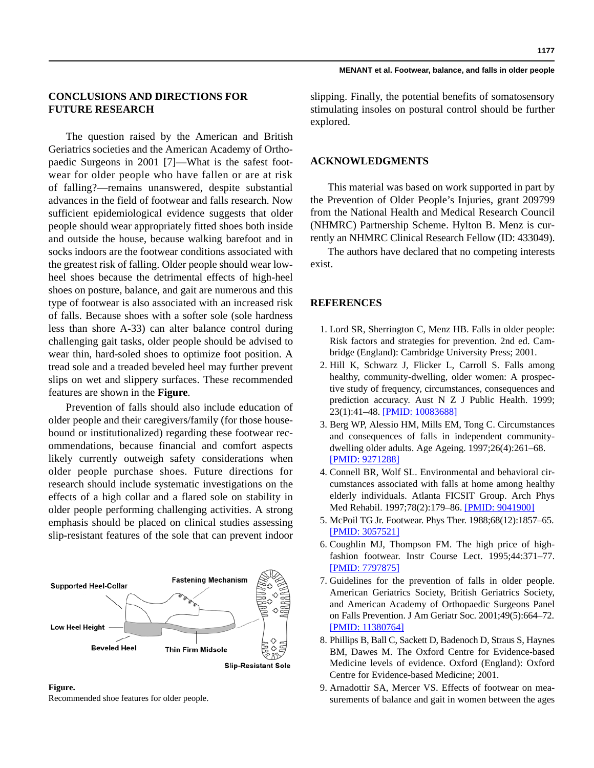**1177**

## **CONCLUSIONS AND DIRECTIONS FOR FUTURE RESEARCH**

The question raised by the American and British Geriatrics societies and the American Academy of Orthopaedic Surgeons in 2001 [7]—What is the safest footwear for older people who have fallen or are at risk of falling?—remains unanswered, despite substantial advances in the field of footwear and falls research. Now sufficient epidemiological evidence suggests that older people should wear appropriately fitted shoes both inside and outside the house, because walking barefoot and in socks indoors are the footwear conditions associated with the greatest risk of falling. Older people should wear lowheel shoes because the detrimental effects of high-heel shoes on posture, balance, and gait are numerous and this type of footwear is also associated with an increased risk of falls. Because shoes with a softer sole (sole hardness less than shore A-33) can alter balance control during challenging gait tasks, older people should be advised to wear thin, hard-soled shoes to optimize foot position. A tread sole and a treaded beveled heel may further prevent slips on wet and slippery surfaces. These recommended features are shown in the **Figure**.

Prevention of falls should also include education of older people and their caregivers/family (for those housebound or institutionalized) regarding these footwear recommendations, because financial and comfort aspects likely currently outweigh safety considerations when older people purchase shoes. Future directions for research should include systematic investigations on the effects of a high collar and a flared sole on stability in older people performing challenging activities. A strong emphasis should be placed on clinical studies assessing slip-resistant features of the sole that can prevent indoor



**Slip-Resistant Sole** 

### **Figure.** Recommended shoe features for older people.

slipping. Finally, the potential benefits of somatosensory stimulating insoles on postural control should be further explored.

### **ACKNOWLEDGMENTS**

This material was based on work supported in part by the Prevention of Older People's Injuries, grant 209799 from the National Health and Medical Research Council (NHMRC) Partnership Scheme. Hylton B. Menz is currently an NHMRC Clinical Research Fellow (ID: 433049).

The authors have declared that no competing interests exist.

### **REFERENCES**

- 1. Lord SR, Sherrington C, Menz HB. Falls in older people: Risk factors and strategies for prevention. 2nd ed. Cambridge (England): Cambridge University Press; 2001.
- 2. Hill K, Schwarz J, Flicker L, Carroll S. Falls among healthy, community-dwelling, older women: A prospective study of frequency, circumstances, consequences and prediction accuracy. Aust N Z J Public Health. 1999; 23(1):41–48. [\[PMID: 10083688\]](http://www.ncbi.nlm.nih.gov/pubmed/10083688)
- 3. Berg WP, Alessio HM, Mills EM, Tong C. Circumstances and consequences of falls in independent communitydwelling older adults. Age Ageing. 1997;26(4):261–68. [\[PMID: 9271288\]](http://www.ncbi.nlm.nih.gov/pubmed/9271288)
- 4. Connell BR, Wolf SL. Environmental and behavioral circumstances associated with falls at home among healthy elderly individuals. Atlanta FICSIT Group. Arch Phys Med Rehabil. 1997;78(2):179–86. [\[PMID: 9041900\]](http://www.ncbi.nlm.nih.gov/pubmed/9041900)
- 5. McPoil TG Jr. Footwear. Phys Ther. 1988;68(12):1857–65. [\[PMID: 3057521\]](http://www.ncbi.nlm.nih.gov/pubmed/3057521)
- 6. Coughlin MJ, Thompson FM. The high price of highfashion footwear. Instr Course Lect. 1995;44:371–77. [\[PMID: 7797875\]](http://www.ncbi.nlm.nih.gov/pubmed/7797875)
- 7. Guidelines for the prevention of falls in older people. American Geriatrics Society, British Geriatrics Society, and American Academy of Orthopaedic Surgeons Panel on Falls Prevention. J Am Geriatr Soc. 2001;49(5):664–72. [\[PMID: 11380764\]](http://www.ncbi.nlm.nih.gov/pubmed/11380764)
- 8. Phillips B, Ball C, Sackett D, Badenoch D, Straus S, Haynes BM, Dawes M. The Oxford Centre for Evidence-based Medicine levels of evidence. Oxford (England): Oxford Centre for Evidence-based Medicine; 2001.
- 9. Arnadottir SA, Mercer VS. Effects of footwear on measurements of balance and gait in women between the ages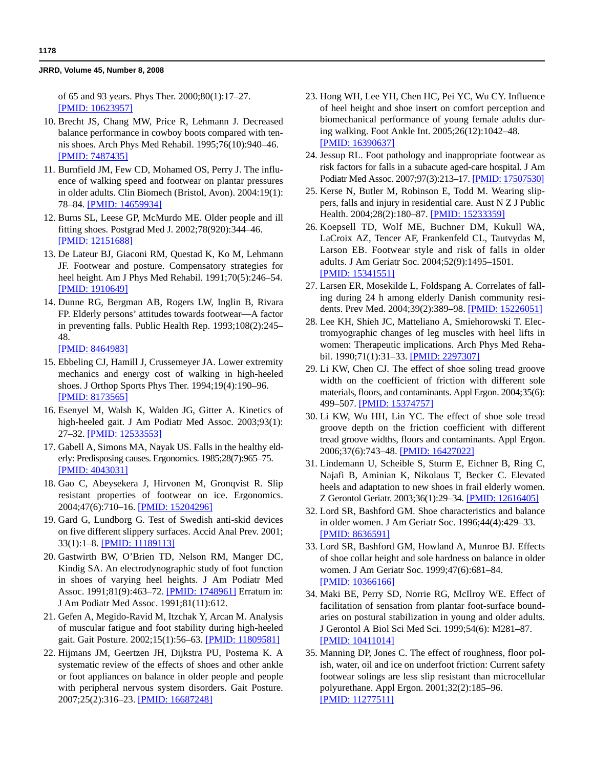of 65 and 93 years. Phys Ther. 2000;80(1):17–27. [\[PMID: 10623957\]](http://www.ncbi.nlm.nih.gov/pubmed/10623957)

- 10. Brecht JS, Chang MW, Price R, Lehmann J. Decreased balance performance in cowboy boots compared with tennis shoes. Arch Phys Med Rehabil. 1995;76(10):940–46. [\[PMID: 7487435\]](http://www.ncbi.nlm.nih.gov/pubmed/7487435)
- 11. Burnfield JM, Few CD, Mohamed OS, Perry J. The influence of walking speed and footwear on plantar pressures in older adults. Clin Biomech (Bristol, Avon). 2004:19(1): 78–84. [\[PMID: 14659934\]](http://www.ncbi.nlm.nih.gov/pubmed/14659934)
- 12. Burns SL, Leese GP, McMurdo ME. Older people and ill fitting shoes. Postgrad Med J. 2002;78(920):344–46. [\[PMID: 12151688\]](http://www.ncbi.nlm.nih.gov/pubmed/12151688)
- 13. De Lateur BJ, Giaconi RM, Questad K, Ko M, Lehmann JF. Footwear and posture. Compensatory strategies for heel height. Am J Phys Med Rehabil. 1991;70(5):246–54. [\[PMID: 1910649\]](http://www.ncbi.nlm.nih.gov/pubmed/1910649)
- 14. Dunne RG, Bergman AB, Rogers LW, Inglin B, Rivara FP. Elderly persons' attitudes towards footwear—A factor in preventing falls. Public Health Rep. 1993;108(2):245– 48.

[\[PMID: 8464983\]](http://www.ncbi.nlm.nih.gov/pubmed/8464983)

- 15. [Ebbeling CJ, Hamill J, Crussemeyer JA. Lower extremity](http://www.ncbi.nlm.nih.gov/pubmed/8173565) [mechanics and energy cost of walking in high-heeled](http://www.ncbi.nlm.nih.gov/pubmed/8173565) shoes. J Orthop Sports Phys Ther. 1994;19(4):190–96. [\[](http://www.ncbi.nlm.nih.gov/pubmed/8173565)PMID: 8173565]
- 16. Esenyel M, Walsh K, Walden JG, Gitter A. Kinetics of high-heeled gait. J Am Podiatr Med Assoc. 2003;93(1): 27–32. [\[PMID: 12533553\]](http://www.ncbi.nlm.nih.gov/pubmed/12533553)
- 17. Gabell A, Simons MA, Nayak US. Falls in the healthy elderly: Predisposing causes. Ergonomics. 1985;28(7):965–75. [\[PMID: 4043031\]](http://www.ncbi.nlm.nih.gov/pubmed/4043031)
- 18. Gao C, Abeysekera J, Hirvonen M, Gronqvist R. Slip resistant properties of footwear on ice. Ergonomics. 2004;47(6):710–16. [\[PMID: 15204296\]](http://www.ncbi.nlm.nih.gov/pubmed/15204296)
- 19. Gard G, Lundborg G. Test of Swedish anti-skid devices on five different slippery surfaces. Accid Anal Prev. 2001; 33(1):1–8. [\[PMID: 11189113\]](http://www.ncbi.nlm.nih.gov/pubmed/11189113)
- 20. Gastwirth BW, O'Brien TD, Nelson RM, Manger DC, Kindig SA. An electrodynographic study of foot function in shoes of varying heel heights. J Am Podiatr Med Assoc. 1991;81(9):463-72. [\[PMID: 1748961\]](http://www.ncbi.nlm.nih.gov/pubmed/1748961) Erratum in: J Am Podiatr Med Assoc. 1991;81(11):612.
- 21. Gefen A, Megido-Ravid M, Itzchak Y, Arcan M. Analysis of muscular fatigue and foot stability during high-heeled gait. Gait Posture. 2002;15(1):56–63. [\[PMID: 11809581\]](http://www.ncbi.nlm.nih.gov/pubmed/11809581)
- 22. Hijmans JM, Geertzen JH, Dijkstra PU, Postema K. A systematic review of the effects of shoes and other ankle or foot appliances on balance in older people and people with peripheral nervous system disorders. Gait Posture. 2007;25(2):316–23. [\[PMID: 16687248\]](http://www.ncbi.nlm.nih.gov/pubmed/16687248)
- 23. Hong WH, Lee YH, Chen HC, Pei YC, Wu CY. Influence of heel height and shoe insert on comfort perception and biomechanical performance of young female adults during walking. Foot Ankle Int. 2005;26(12):1042–48. [\[PMID: 16390637\]](http://www.ncbi.nlm.nih.gov/pubmed/16390637)
- 24. Jessup RL. Foot pathology and inappropriate footwear as risk factors for falls in a subacute aged-care hospital. J Am Podiatr Med Assoc. 2007;97(3):213–17. [\[PMID: 17507530\]](http://www.ncbi.nlm.nih.gov/pubmed/17507530)
- 25. Kerse N, Butler M, Robinson E, Todd M. Wearing slippers, falls and injury in residential care. Aust N Z J Public Health. 2004;28(2):180–87. [\[PMID: 15233359\]](http://www.ncbi.nlm.nih.gov/pubmed/15233359)
- 26. Koepsell TD, Wolf ME, Buchner DM, Kukull WA, LaCroix AZ, Tencer AF, Frankenfeld CL, Tautvydas M, Larson EB. Footwear style and risk of falls in older adults. J Am Geriatr Soc. 2004;52(9):1495–1501. [\[PMID: 15341551\]](http://www.ncbi.nlm.nih.gov/pubmed/15341551)
- 27. Larsen ER, Mosekilde L, Foldspang A. Correlates of falling during 24 h among elderly Danish community residents. Prev Med. 2004;39(2):389–98. [\[PMID: 15226051\]](http://www.ncbi.nlm.nih.gov/pubmed/15226051)
- 28. Lee KH, Shieh JC, Matteliano A, Smiehorowski T. Electromyographic changes of leg muscles with heel lifts in women: Therapeutic implications. Arch Phys Med Reha-bil. 1990;71(1):31-33. [\[PMID: 2297307\]](http://www.ncbi.nlm.nih.gov/pubmed/2297307)
- 29. Li KW, Chen CJ. The effect of shoe soling tread groove width on the coefficient of friction with different sole materials, floors, and contaminants. Appl Ergon. 2004;35(6): 499–507. [\[PMID: 15374757\]](http://www.ncbi.nlm.nih.gov/pubmed/15374757)
- 30. Li KW, Wu HH, Lin YC. The effect of shoe sole tread groove depth on the friction coefficient with different tread groove widths, floors and contaminants. Appl Ergon. 2006;37(6):743–48. [\[PMID: 16427022\]](http://www.ncbi.nlm.nih.gov/pubmed/16427022)
- 31. Lindemann U, Scheible S, Sturm E, Eichner B, Ring C, Najafi B, Aminian K, Nikolaus T, Becker C. Elevated heels and adaptation to new shoes in frail elderly women. Z Gerontol Geriatr. 2003;36(1):29–34. [\[PMID: 12616405\]](http://www.ncbi.nlm.nih.gov/pubmed/12616405)
- 32. Lord SR, Bashford GM. Shoe characteristics and balance in older women. J Am Geriatr Soc. 1996;44(4):429–33. [\[PMID: 8636591\]](http://www.ncbi.nlm.nih.gov/pubmed/8636591)
- 33. Lord SR, Bashford GM, Howland A, Munroe BJ. Effects of shoe collar height and sole hardness on balance in older women. J Am Geriatr Soc. 1999;47(6):681–84. [\[PMID: 10366166\]](http://www.ncbi.nlm.nih.gov/pubmed/10366166)
- 34. Maki BE, Perry SD, Norrie RG, McIlroy WE. Effect of facilitation of sensation from plantar foot-surface boundaries on postural stabilization in young and older adults. J Gerontol A Biol Sci Med Sci. 1999;54(6): M281–87. [\[PMID: 10411014\]](http://www.ncbi.nlm.nih.gov/pubmed/10411014)
- 35. Manning DP, Jones C. The effect of roughness, floor polish, water, oil and ice on underfoot friction: Current safety footwear solings are less slip resistant than microcellular polyurethane. Appl Ergon. 2001;32(2):185–96. [\[PMID: 11277511\]](http://www.ncbi.nlm.nih.gov/pubmed/11277511)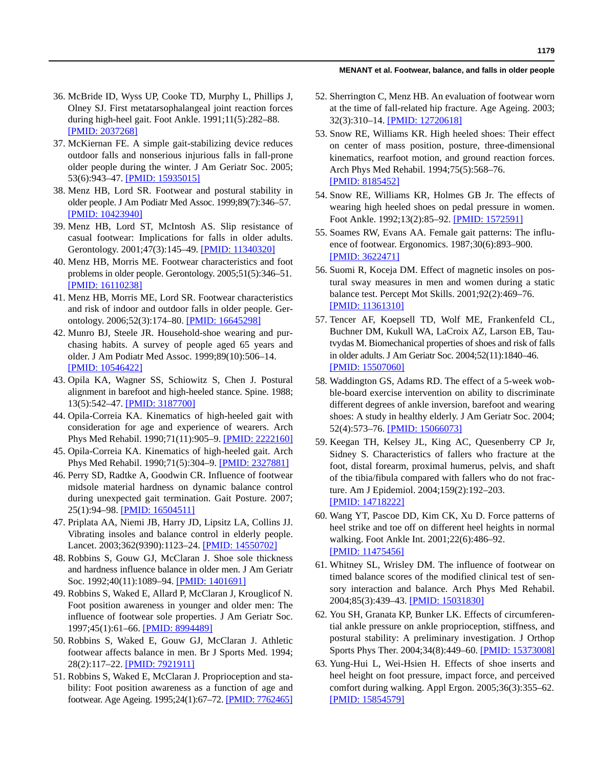- 36. McBride ID, Wyss UP, Cooke TD, Murphy L, Phillips J, Olney SJ. First metatarsophalangeal joint reaction forces during high-heel gait. Foot Ankle. 1991;11(5):282–88. [\[PMID: 2037268\]](http://www.ncbi.nlm.nih.gov/pubmed/2037268)
- 37. McKiernan FE. A simple gait-stabilizing device reduces outdoor falls and nonserious injurious falls in fall-prone older people during the winter. J Am Geriatr Soc. 2005; 53(6):943–47. [\[PMID: 15935015\]](http://www.ncbi.nlm.nih.gov/pubmed/15935015)
- 38. Menz HB, Lord SR. Footwear and postural stability in older people. J Am Podiatr Med Assoc. 1999;89(7):346–57. [\[PMID: 10423940\]](http://www.ncbi.nlm.nih.gov/pubmed/10423940)
- 39. Menz HB, Lord ST, McIntosh AS. Slip resistance of casual footwear: Implications for falls in older adults. Gerontology. 2001;47(3):145–49. [\[PMID: 11340320\]](http://www.ncbi.nlm.nih.gov/pubmed/11340320)
- 40. Menz HB, Morris ME. Footwear characteristics and foot problems in older people. Gerontology. 2005;51(5):346–51. [\[PMID: 16110238\]](http://www.ncbi.nlm.nih.gov/pubmed/16110238)
- 41. Menz HB, Morris ME, Lord SR. Footwear characteristics and risk of indoor and outdoor falls in older people. Gerontology. 2006;52(3):174–80. [\[PMID: 16645298\]](http://www.ncbi.nlm.nih.gov/pubmed/16645298)
- 42. Munro BJ, Steele JR. Household-shoe wearing and purchasing habits. A survey of people aged 65 years and older. J Am Podiatr Med Assoc. 1999;89(10):506–14. [\[PMID: 10546422\]](http://www.ncbi.nlm.nih.gov/pubmed/10546422)
- 43. Opila KA, Wagner SS, Schiowitz S, Chen J. Postural alignment in barefoot and high-heeled stance. Spine. 1988; 13(5):542–47. [\[PMID: 3187700\]](http://www.ncbi.nlm.nih.gov/pubmed/3187700)
- 44. Opila-Correia KA. Kinematics of high-heeled gait with consideration for age and experience of wearers. Arch Phys Med Rehabil. 1990;71(11):905–9. [\[PMID: 2222160\]](http://www.ncbi.nlm.nih.gov/pubmed/2222160)
- 45. Opila-Correia KA. Kinematics of high-heeled gait. Arch Phys Med Rehabil. 1990;71(5):304–9. [\[PMID: 2327881\]](http://www.ncbi.nlm.nih.gov/pubmed/2327881)
- 46. Perry SD, Radtke A, Goodwin CR. Influence of footwear midsole material hardness on dynamic balance control during unexpected gait termination. Gait Posture. 2007; 25(1):94–98. [\[PMID: 16504511\]](http://www.ncbi.nlm.nih.gov/pubmed/16504511)
- 47. Priplata AA, Niemi JB, Harry JD, Lipsitz LA, Collins JJ. Vibrating insoles and balance control in elderly people. Lancet. 2003;362(9390):1123–24. [\[PMID: 14550702\]](http://www.ncbi.nlm.nih.gov/pubmed/14550702)
- 48. Robbins S, Gouw GJ, McClaran J. Shoe sole thickness and hardness influence balance in older men. J Am Geriatr Soc. 1992;40(11):1089–94. [\[PMID: 1401691\]](http://www.ncbi.nlm.nih.gov/pubmed/1401691)
- 49. Robbins S, Waked E, Allard P, McClaran J, Krouglicof N. Foot position awareness in younger and older men: The influence of footwear sole properties. J Am Geriatr Soc. 1997;45(1):61-66. [\[PMID: 8994489\]](http://www.ncbi.nlm.nih.gov/pubmed/8994489)
- 50. Robbins S, Waked E, Gouw GJ, McClaran J. Athletic footwear affects balance in men. Br J Sports Med. 1994; 28(2):117–22. [\[PMID: 7921911\]](http://www.ncbi.nlm.nih.gov/pubmed/7921911)
- 51. Robbins S, Waked E, McClaran J. Proprioception and stability: Foot position awareness as a function of age and footwear. Age Ageing. 1995;24(1):67–72. [\[PMID: 7762465\]](http://www.ncbi.nlm.nih.gov/pubmed/7762465)
- 52. Sherrington C, Menz HB. An evaluation of footwear worn at the time of fall-related hip fracture. Age Ageing. 2003; 32(3):310–14. [\[PMID: 12720618\]](http://www.ncbi.nlm.nih.gov/pubmed/12720618)
- 53. Snow RE, Williams KR. High heeled shoes: Their effect on center of mass position, posture, three-dimensional kinematics, rearfoot motion, and ground reaction forces. Arch Phys Med Rehabil. 1994;75(5):568–76. [\[PMID: 8185452\]](http://www.ncbi.nlm.nih.gov/pubmed/8185452)
- 54. Snow RE, Williams KR, Holmes GB Jr. The effects of wearing high heeled shoes on pedal pressure in women. Foot Ankle. 1992;13(2):85–92. [\[PMID: 1572591\]](http://www.ncbi.nlm.nih.gov/pubmed/1572591)
- 55. Soames RW, Evans AA. Female gait patterns: The influence of footwear. Ergonomics. 1987;30(6):893–900. [\[PMID: 3622471\]](http://www.ncbi.nlm.nih.gov/pubmed/3622471)
- 56. Suomi R, Koceja DM. Effect of magnetic insoles on postural sway measures in men and women during a static balance test. Percept Mot Skills. 2001;92(2):469–76. [\[PMID: 11361310\]](http://www.ncbi.nlm.nih.gov/pubmed/11361310)
- 57. Tencer AF, Koepsell TD, Wolf ME, Frankenfeld CL, Buchner DM, Kukull WA, LaCroix AZ, Larson EB, Tautvydas M. Biomechanical properties of shoes and risk of falls in older adults. J Am Geriatr Soc. 2004;52(11):1840–46. [\[PMID: 15507060\]](http://www.ncbi.nlm.nih.gov/pubmed/15507060)
- 58. Waddington GS, Adams RD. The effect of a 5-week wobble-board exercise intervention on ability to discriminate different degrees of ankle inversion, barefoot and wearing shoes: A study in healthy elderly. J Am Geriatr Soc. 2004; 52(4):573–76. [\[PMID: 15066073\]](http://www.ncbi.nlm.nih.gov/pubmed/15066073)
- 59. Keegan TH, Kelsey JL, King AC, Quesenberry CP Jr, Sidney S. Characteristics of fallers who fracture at the foot, distal forearm, proximal humerus, pelvis, and shaft of the tibia/fibula compared with fallers who do not fracture. Am J Epidemiol. 2004;159(2):192–203. [\[PMID: 14718222\]](http://www.ncbi.nlm.nih.gov/pubmed/14718222)
- 60. Wang YT, Pascoe DD, Kim CK, Xu D. Force patterns of heel strike and toe off on different heel heights in normal walking. Foot Ankle Int. 2001;22(6):486–92. [\[PMID: 11475456\]](http://www.ncbi.nlm.nih.gov/pubmed/11475456)
- 61. Whitney SL, Wrisley DM. The influence of footwear on timed balance scores of the modified clinical test of sensory interaction and balance. Arch Phys Med Rehabil. 2004;85(3):439–43. [\[PMID: 15031830\]](http://www.ncbi.nlm.nih.gov/pubmed/15031830)
- 62. You SH, Granata KP, Bunker LK. Effects of circumferential ankle pressure on ankle proprioception, stiffness, and postural stability: A preliminary investigation. J Orthop Sports Phys Ther. 2004;34(8):449–60. [\[PMID: 15373008\]](http://www.ncbi.nlm.nih.gov/pubmed/15373008)
- 63. Yung-Hui L, Wei-Hsien H. Effects of shoe inserts and heel height on foot pressure, impact force, and perceived comfort during walking. Appl Ergon. 2005;36(3):355–62. [\[PMID: 15854579\]](http://www.ncbi.nlm.nih.gov/pubmed/15854579)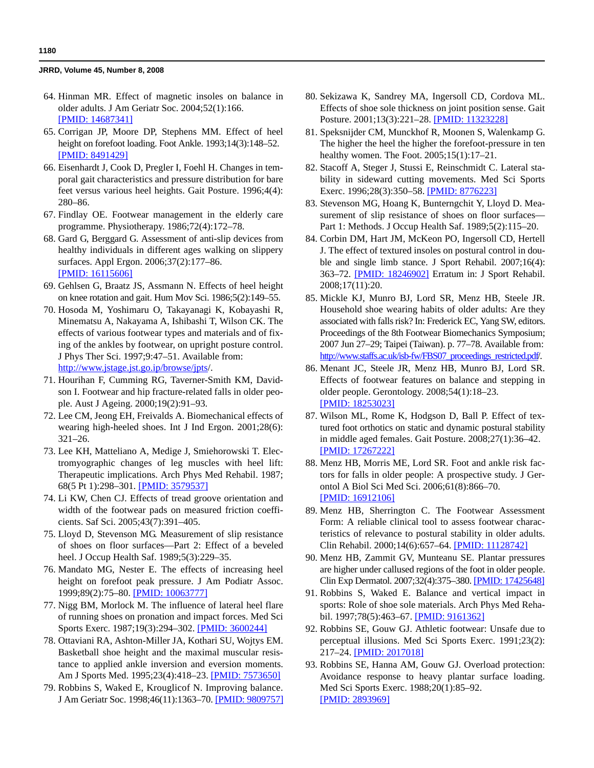- 64. Hinman MR. Effect of magnetic insoles on balance in older adults. J Am Geriatr Soc. 2004;52(1):166. [\[PMID: 14687341\]](http://www.ncbi.nlm.nih.gov/pubmed/14687341)
- 65. Corrigan JP, Moore DP, Stephens MM. Effect of heel height on forefoot loading. Foot Ankle. 1993;14(3):148–52. [\[PMID: 8491429\]](http://www.ncbi.nlm.nih.gov/pubmed/8491429)
- 66. Eisenhardt J, Cook D, Pregler I, Foehl H. Changes in temporal gait characteristics and pressure distribution for bare feet versus various heel heights. Gait Posture. 1996;4(4): 280–86.
- 67. Findlay OE. Footwear management in the elderly care programme. Physiotherapy. 1986;72(4):172–78.
- 68. Gard G, Berggard G. Assessment of anti-slip devices from healthy individuals in different ages walking on slippery surfaces. Appl Ergon. 2006;37(2):177–86. [\[PMID: 16115606\]](http://www.ncbi.nlm.nih.gov/pubmed/16115606)
- 69. Gehlsen G, Braatz JS, Assmann N. Effects of heel height on knee rotation and gait. Hum Mov Sci. 1986;5(2):149–55.
- 70. Hosoda M, Yoshimaru O, Takayanagi K, Kobayashi R, Minematsu A, Nakayama A, Ishibashi T, Wilson CK. The effects of various footwear types and materials and of fixing of the ankles by footwear, on upright posture control. J Phys Ther Sci. 1997;9:47–51. Available from: http://www.jstage.jst.go.ip/browse/jpts/.
- 71. Hourihan F, Cumming RG, Taverner-Smith KM, Davidson I. Footwear and hip fracture-related falls in older people. Aust J Ageing. 2000;19(2):91–93.
- 72. Lee CM, Jeong EH, Freivalds A. Biomechanical effects of wearing high-heeled shoes. Int J Ind Ergon. 2001;28(6): 321–26.
- 73. Lee KH, Matteliano A, Medige J, Smiehorowski T. Electromyographic changes of leg muscles with heel lift: Therapeutic implications. Arch Phys Med Rehabil. 1987; 68(5 Pt 1):298–301. [\[PMID: 3579537\]](http://www.ncbi.nlm.nih.gov/pubmed/3579537)
- 74. Li KW, Chen CJ. Effects of tread groove orientation and width of the footwear pads on measured friction coefficients. Saf Sci. 2005;43(7):391–405.
- 75. Lloyd D, Stevenson MG. Measurement of slip resistance of shoes on floor surfaces—Part 2: Effect of a beveled heel. J Occup Health Saf. 1989;5(3):229–35.
- 76. Mandato MG, Nester E. The effects of increasing heel height on forefoot peak pressure. J Am Podiatr Assoc. 1999;89(2):75–80. [\[PMID: 10063777\]](http://www.ncbi.nlm.nih.gov/pubmed/10063777)
- 77. Nigg BM, Morlock M. The influence of lateral heel flare of running shoes on pronation and impact forces. Med Sci Sports Exerc. 1987;19(3):294–302. [\[PMID: 3600244\]](http://www.ncbi.nlm.nih.gov/pubmed/3600244)
- 78. Ottaviani RA, Ashton-Miller JA, Kothari SU, Wojtys EM. Basketball shoe height and the maximal muscular resistance to applied ankle inversion and eversion moments. Am J Sports Med. 1995;23(4):418–23. [\[PMID: 7573650\]](http://www.ncbi.nlm.nih.gov/pubmed/7573650)
- 79. Robbins S, Waked E, Krouglicof N. Improving balance. J Am Geriatr Soc. 1998;46(11):1363–70. [\[PMID: 9809757\]](http://www.ncbi.nlm.nih.gov/pubmed/9809757)
- 80. Sekizawa K, Sandrey MA, Ingersoll CD, Cordova ML. Effects of shoe sole thickness on joint position sense. Gait Posture. 2001;13(3):221–28. [\[PMID: 11323228\]](http://www.ncbi.nlm.nih.gov/pubmed/11323228)
- 81. Speksnijder CM, Munckhof R, Moonen S, Walenkamp G. The higher the heel the higher the forefoot-pressure in ten healthy women. The Foot. 2005;15(1):17–21.
- 82. Stacoff A, Steger J, Stussi E, Reinschmidt C. Lateral stability in sideward cutting movements. Med Sci Sports Exerc. 1996;28(3):350–58. [\[PMID: 8776223\]](http://www.ncbi.nlm.nih.gov/pubmed/8776223)
- 83. Stevenson MG, Hoang K, Bunterngchit Y, Lloyd D. Measurement of slip resistance of shoes on floor surfaces— Part 1: Methods. J Occup Health Saf. 1989;5(2):115–20.
- 84. Corbin DM, Hart JM, McKeon PO, Ingersoll CD, Hertell J. The effect of textured insoles on postural control in double and single limb stance. J Sport Rehabil. 2007;16(4): 363–72. [\[PMID: 18246902\]](http://www.ncbi.nlm.nih.gov/pubmed/18246902) Erratum in: J Sport Rehabil. 2008;17(11):20.
- 85. Mickle KJ, Munro BJ, Lord SR, Menz HB, Steele JR. Household shoe wearing habits of older adults: Are they associated with falls risk? In: Frederick EC, Yang SW, editors. Proceedings of the 8th Footwear Biomechanics Symposium; 2007 Jun 27–29; Taipei (Taiwan). p. 77–78. Available from: http://www.staffs.ac.uk/isb-fw/FBS07\_proceedings\_restricted.pdf/.
- 86. Menant JC, Steele JR, Menz HB, Munro BJ, Lord SR. Effects of footwear features on balance and stepping in older people. Gerontology. 2008;54(1):18–23. [\[PMID: 18253023\]](http://www.ncbi.nlm.nih.gov/pubmed/18253023)
- 87. Wilson ML, Rome K, Hodgson D, Ball P. Effect of textured foot orthotics on static and dynamic postural stability in middle aged females. Gait Posture. 2008;27(1):36–42. [\[PMID: 17267222\]](http://www.ncbi.nlm.nih.gov/pubmed/17267222)
- 88. Menz HB, Morris ME, Lord SR. Foot and ankle risk factors for falls in older people: A prospective study. J Gerontol A Biol Sci Med Sci. 2006;61(8):866–70. [\[PMID: 16912106\]](http://www.ncbi.nlm.nih.gov/pubmed/16912106)
- 89. Menz HB, Sherrington C. The Footwear Assessment Form: A reliable clinical tool to assess footwear characteristics of relevance to postural stability in older adults. Clin Rehabil. 2000;14(6):657–64. [\[PMID: 11128742\]](http://www.ncbi.nlm.nih.gov/pubmed/11128742)
- 90. Menz HB, Zammit GV, Munteanu SE. Plantar pressures are higher under callused regions of the foot in older people. Clin Exp Dermatol. 2007;32(4):375–380. [\[PMID: 17425648\]](http://www.ncbi.nlm.nih.gov/pubmed/17425648)
- 91. Robbins S, Waked E. Balance and vertical impact in sports: Role of shoe sole materials. Arch Phys Med Rehabil. 1997;78(5):463–67. [\[PMID: 9161362\]](http://www.ncbi.nlm.nih.gov/pubmed/9161362)
- 92. Robbins SE, Gouw GJ. Athletic footwear: Unsafe due to perceptual illusions. Med Sci Sports Exerc. 1991;23(2): 217–24. [\[PMID: 2017018\]](http://www.ncbi.nlm.nih.gov/pubmed/2017018)
- 93. Robbins SE, Hanna AM, Gouw GJ. Overload protection: Avoidance response to heavy plantar surface loading. Med Sci Sports Exerc. 1988;20(1):85–92. [\[PMID: 2893969\]](http://www.ncbi.nlm.nih.gov/pubmed/2893969)